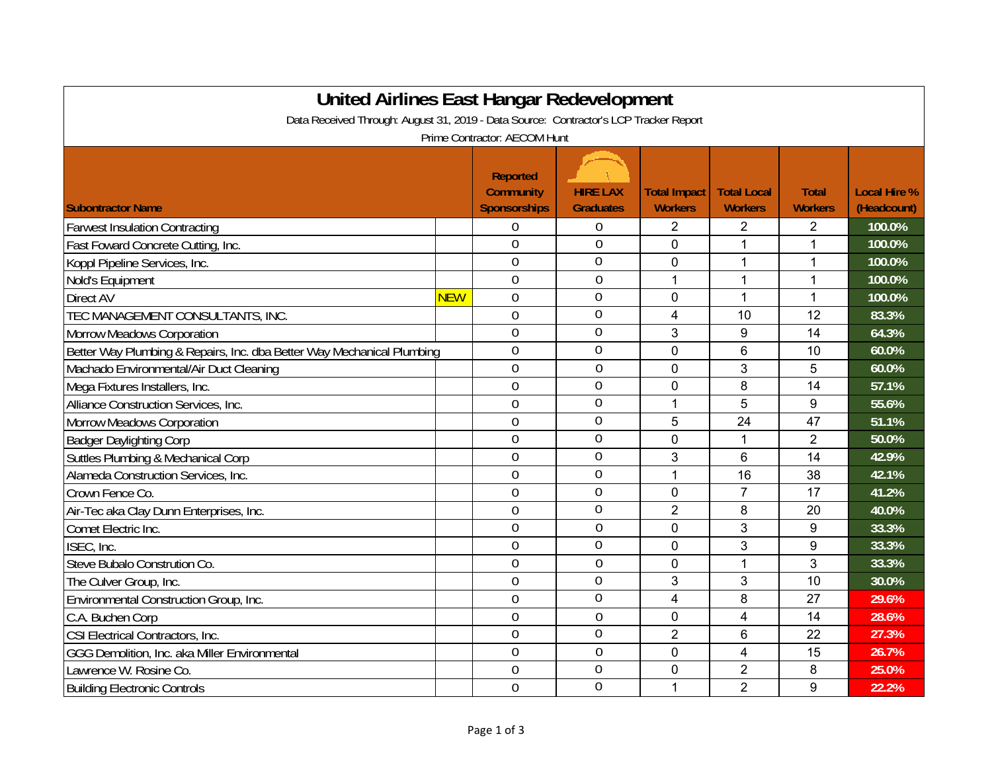| United Airlines East Hangar Redevelopment<br>Data Received Through: August 31, 2019 - Data Source: Contractor's LCP Tracker Report |            |                                                            |                                     |                                       |                                      |                                |                                    |  |
|------------------------------------------------------------------------------------------------------------------------------------|------------|------------------------------------------------------------|-------------------------------------|---------------------------------------|--------------------------------------|--------------------------------|------------------------------------|--|
| Prime Contractor: AECOM Hunt                                                                                                       |            |                                                            |                                     |                                       |                                      |                                |                                    |  |
| <b>Subontractor Name</b>                                                                                                           |            | <b>Reported</b><br><b>Community</b><br><b>Sponsorships</b> | <b>HIRE LAX</b><br><b>Graduates</b> | <b>Total Impact</b><br><b>Workers</b> | <b>Total Local</b><br><b>Workers</b> | <b>Total</b><br><b>Workers</b> | <b>Local Hire %</b><br>(Headcount) |  |
| <b>Farwest Insulation Contracting</b>                                                                                              |            | $\boldsymbol{0}$                                           | $\boldsymbol{0}$                    | $\overline{2}$                        | $\overline{2}$                       | 2                              | 100.0%                             |  |
| Fast Foward Concrete Cutting, Inc.                                                                                                 |            | $\overline{0}$                                             | $\mathbf 0$                         | $\overline{0}$                        | 1                                    | 1                              | 100.0%                             |  |
| Koppl Pipeline Services, Inc.                                                                                                      |            | $\overline{0}$                                             | $\overline{0}$                      | $\mathbf 0$                           | 1                                    | $\mathbf{1}$                   | 100.0%                             |  |
| Nold's Equipment                                                                                                                   |            | $\overline{0}$                                             | $\boldsymbol{0}$                    | 1                                     | 1                                    | $\mathbf{1}$                   | 100.0%                             |  |
| Direct AV                                                                                                                          | <b>NEW</b> | $\overline{0}$                                             | $\overline{0}$                      | $\mathbf 0$                           | $\mathbf{1}$                         | $\mathbf{1}$                   | 100.0%                             |  |
| TEC MANAGEMENT CONSULTANTS, INC.                                                                                                   |            | $\overline{0}$                                             | $\overline{0}$                      | 4                                     | 10                                   | 12                             | 83.3%                              |  |
| <b>Morrow Meadows Corporation</b>                                                                                                  |            | $\boldsymbol{0}$                                           | $\mathbf 0$                         | 3                                     | 9                                    | 14                             | 64.3%                              |  |
| Better Way Plumbing & Repairs, Inc. dba Better Way Mechanical Plumbing                                                             |            | $\mathbf 0$                                                | $\mathbf 0$                         | $\mathbf 0$                           | 6                                    | 10                             | 60.0%                              |  |
| Machado Environmental/Air Duct Cleaning                                                                                            |            | $\mathbf 0$                                                | $\mathbf 0$                         | $\mathbf 0$                           | 3                                    | 5                              | 60.0%                              |  |
| Mega Fixtures Installers, Inc.                                                                                                     |            | $\overline{0}$                                             | $\mathbf 0$                         | 0                                     | 8                                    | 14                             | 57.1%                              |  |
| Alliance Construction Services, Inc.                                                                                               |            | $\overline{0}$                                             | $\overline{0}$                      | 1                                     | 5                                    | 9                              | 55.6%                              |  |
| <b>Morrow Meadows Corporation</b>                                                                                                  |            | $\overline{0}$                                             | $\overline{0}$                      | 5                                     | 24                                   | 47                             | 51.1%                              |  |
| <b>Badger Daylighting Corp</b>                                                                                                     |            | $\overline{0}$                                             | $\mathbf 0$                         | $\overline{0}$                        | $\mathbf{1}$                         | $\overline{2}$                 | 50.0%                              |  |
| Suttles Plumbing & Mechanical Corp                                                                                                 |            | $\overline{0}$                                             | $\overline{0}$                      | 3                                     | 6                                    | 14                             | 42.9%                              |  |
| Alameda Construction Services, Inc.                                                                                                |            | $\overline{0}$                                             | $\overline{0}$                      | 1                                     | 16                                   | 38                             | 42.1%                              |  |
| Crown Fence Co.                                                                                                                    |            | $\overline{0}$                                             | $\overline{0}$                      | 0                                     | 7                                    | 17                             | 41.2%                              |  |
| Air-Tec aka Clay Dunn Enterprises, Inc.                                                                                            |            | $\overline{0}$                                             | $\overline{0}$                      | $\overline{2}$                        | 8                                    | 20                             | 40.0%                              |  |
| Comet Electric Inc.                                                                                                                |            | $\overline{0}$                                             | $\overline{0}$                      | $\overline{0}$                        | 3                                    | 9                              | 33.3%                              |  |
| ISEC, Inc.                                                                                                                         |            | $\overline{0}$                                             | $\overline{0}$                      | $\overline{0}$                        | 3                                    | 9                              | 33.3%                              |  |
| Steve Bubalo Constrution Co.                                                                                                       |            | $\overline{0}$                                             | $\mathbf 0$                         | $\mathbf 0$                           | $\mathbf{1}$                         | 3                              | 33.3%                              |  |
| The Culver Group, Inc.                                                                                                             |            | $\overline{0}$                                             | $\overline{0}$                      | 3                                     | 3                                    | 10                             | 30.0%                              |  |
| Environmental Construction Group, Inc.                                                                                             |            | $\theta$                                                   | $\overline{0}$                      | 4                                     | 8                                    | 27                             | 29.6%                              |  |
| C.A. Buchen Corp                                                                                                                   |            | $\theta$                                                   | $\theta$                            | 0                                     | 4                                    | 14                             | 28.6%                              |  |
| CSI Electrical Contractors, Inc.                                                                                                   |            | $\overline{0}$                                             | $\overline{0}$                      | $\overline{2}$                        | 6                                    | 22                             | 27.3%                              |  |
| GGG Demolition, Inc. aka Miller Environmental                                                                                      |            | $\overline{0}$                                             | $\mathbf 0$                         | $\overline{0}$                        | $\overline{4}$                       | 15                             | 26.7%                              |  |
| Lawrence W. Rosine Co.                                                                                                             |            | $\overline{0}$                                             | $\mathbf 0$                         | $\mathbf{0}$                          | $\overline{2}$                       | 8                              | 25.0%                              |  |
| <b>Building Electronic Controls</b>                                                                                                |            | $\overline{0}$                                             | $\overline{0}$                      | 1                                     | $\overline{2}$                       | 9                              | 22.2%                              |  |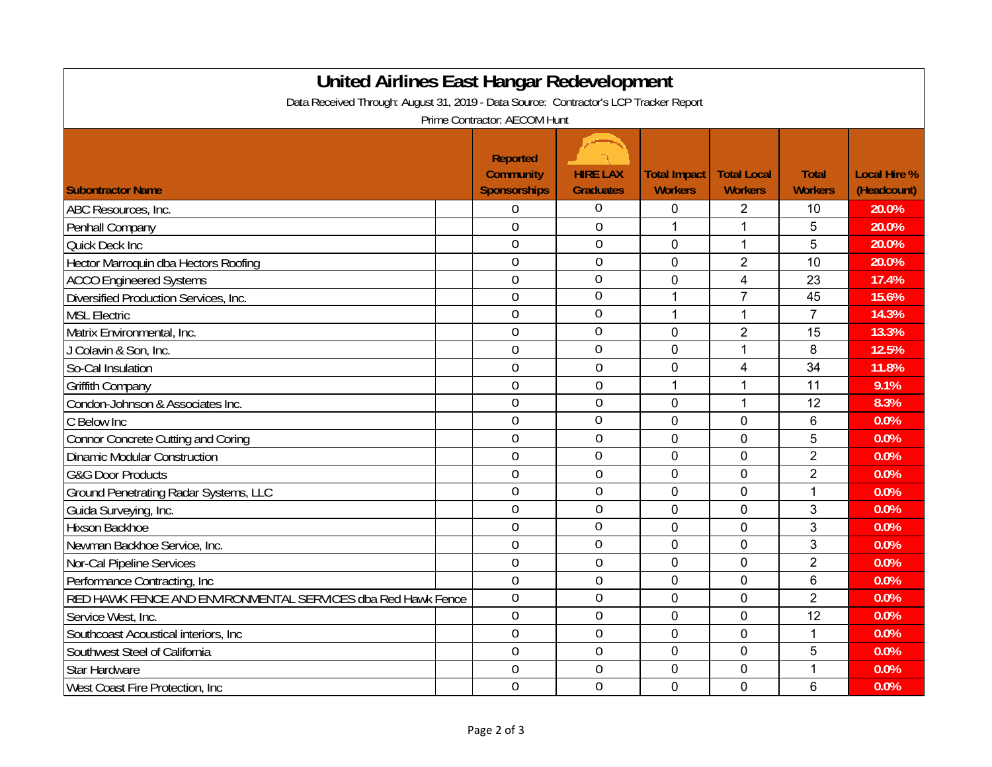| <b>United Airlines East Hangar Redevelopment</b><br>Data Received Through: August 31, 2019 - Data Source: Contractor's LCP Tracker Report |  |                                                            |                                     |                                       |                                      |                                |                                    |  |
|-------------------------------------------------------------------------------------------------------------------------------------------|--|------------------------------------------------------------|-------------------------------------|---------------------------------------|--------------------------------------|--------------------------------|------------------------------------|--|
| Prime Contractor: AECOM Hunt                                                                                                              |  |                                                            |                                     |                                       |                                      |                                |                                    |  |
| <b>Subontractor Name</b>                                                                                                                  |  | <b>Reported</b><br><b>Community</b><br><b>Sponsorships</b> | <b>HIRE LAX</b><br><b>Graduates</b> | <b>Total Impact</b><br><b>Workers</b> | <b>Total Local</b><br><b>Workers</b> | <b>Total</b><br><b>Workers</b> | <b>Local Hire %</b><br>(Headcount) |  |
| ABC Resources, Inc.                                                                                                                       |  | $\mathbf 0$                                                | $\boldsymbol{0}$                    | 0                                     | $\overline{2}$                       | 10                             | 20.0%                              |  |
| Penhall Company                                                                                                                           |  | $\overline{0}$                                             | $\mathbf 0$                         | $\mathbf{1}$                          | $\mathbf{1}$                         | 5                              | 20.0%                              |  |
| Quick Deck Inc                                                                                                                            |  | $\mathbf 0$                                                | $\mathbf 0$                         | 0                                     | 1                                    | 5                              | 20.0%                              |  |
| Hector Marroquin dba Hectors Roofing                                                                                                      |  | $\overline{0}$                                             | $\mathbf 0$                         | $\overline{0}$                        | $\overline{2}$                       | 10                             | 20.0%                              |  |
| <b>ACCO Engineered Systems</b>                                                                                                            |  | $\mathbf 0$                                                | $\overline{0}$                      | 0                                     | 4                                    | 23                             | 17.4%                              |  |
| Diversified Production Services, Inc.                                                                                                     |  | $\overline{0}$                                             | $\overline{0}$                      | 1                                     | $\overline{7}$                       | 45                             | 15.6%                              |  |
| <b>MSL Electric</b>                                                                                                                       |  | $\overline{0}$                                             | $\mathbf 0$                         | $\mathbf{1}$                          | $\mathbf{1}$                         | $\overline{7}$                 | 14.3%                              |  |
| Matrix Environmental, Inc.                                                                                                                |  | $\mathbf 0$                                                | $\overline{0}$                      | $\overline{0}$                        | $\overline{2}$                       | 15                             | 13.3%                              |  |
| J Colavin & Son, Inc.                                                                                                                     |  | $\overline{0}$                                             | $\mathbf 0$                         | 0                                     | $\mathbf{1}$                         | 8                              | 12.5%                              |  |
| So-Cal Insulation                                                                                                                         |  | $\mathbf 0$                                                | 0                                   | 0                                     | 4                                    | 34                             | 11.8%                              |  |
| <b>Griffith Company</b>                                                                                                                   |  | $\overline{0}$                                             | $\overline{0}$                      | 1                                     | $\mathbf{1}$                         | 11                             | 9.1%                               |  |
| Condon-Johnson & Associates Inc.                                                                                                          |  | $\mathbf 0$                                                | $\mathbf 0$                         | $\overline{0}$                        | $\mathbf{1}$                         | 12                             | 8.3%                               |  |
| C Below Inc                                                                                                                               |  | $\overline{0}$                                             | $\overline{0}$                      | $\overline{0}$                        | 0                                    | 6                              | 0.0%                               |  |
| <b>Connor Concrete Cutting and Coring</b>                                                                                                 |  | $\overline{0}$                                             | $\overline{0}$                      | 0                                     | $\overline{0}$                       | 5                              | 0.0%                               |  |
| <b>Dinamic Modular Construction</b>                                                                                                       |  | $\overline{0}$                                             | $\mathbf 0$                         | 0                                     | 0                                    | $\overline{2}$                 | 0.0%                               |  |
| <b>G&amp;G Door Products</b>                                                                                                              |  | $\overline{0}$                                             | $\mathbf 0$                         | $\overline{0}$                        | 0                                    | $\overline{2}$                 | 0.0%                               |  |
| Ground Penetrating Radar Systems, LLC                                                                                                     |  | $\overline{0}$                                             | $\mathbf 0$                         | $\overline{0}$                        | 0                                    | 1                              | 0.0%                               |  |
| Guida Surveying, Inc.                                                                                                                     |  | $\overline{0}$                                             | $\mathbf 0$                         | $\mathbf 0$                           | $\mathbf 0$                          | 3                              | 0.0%                               |  |
| <b>Hixson Backhoe</b>                                                                                                                     |  | $\overline{0}$                                             | $\mathbf 0$                         | 0                                     | 0                                    | 3                              | 0.0%                               |  |
| Newman Backhoe Service, Inc.                                                                                                              |  | $\overline{0}$                                             | $\overline{0}$                      | 0                                     | 0                                    | 3                              | 0.0%                               |  |
| Nor-Cal Pipeline Services                                                                                                                 |  | $\mathbf 0$                                                | $\mathbf 0$                         | 0                                     | 0                                    | $\overline{2}$                 | 0.0%                               |  |
| Performance Contracting, Inc.                                                                                                             |  | $\overline{0}$                                             | $\mathbf 0$                         | $\overline{0}$                        | $\overline{0}$                       | 6                              | 0.0%                               |  |
| RED HAWK FENCE AND ENVIRONMENTAL SERVICES dba Red Hawk Fence                                                                              |  | $\overline{0}$                                             | $\overline{0}$                      | $\mathbf 0$                           | $\mathbf 0$                          | $\overline{2}$                 | 0.0%                               |  |
| Service West, Inc.                                                                                                                        |  | $\overline{0}$                                             | $\overline{0}$                      | $\overline{0}$                        | $\mathbf 0$                          | 12                             | 0.0%                               |  |
| Southcoast Acoustical interiors, Inc.                                                                                                     |  | $\overline{0}$                                             | $\mathbf 0$                         | $\overline{0}$                        | $\mathbf 0$                          | 1                              | 0.0%                               |  |
| Southwest Steel of California                                                                                                             |  | $\overline{0}$                                             | $\overline{0}$                      | $\overline{0}$                        | 0                                    | 5                              | 0.0%                               |  |
| <b>Star Hardware</b>                                                                                                                      |  | $\mathbf 0$                                                | $\mathbf 0$                         | 0                                     | 0                                    | 1                              | 0.0%                               |  |
| West Coast Fire Protection, Inc.                                                                                                          |  | $\overline{0}$                                             | $\overline{0}$                      | 0                                     | 0                                    | 6                              | 0.0%                               |  |